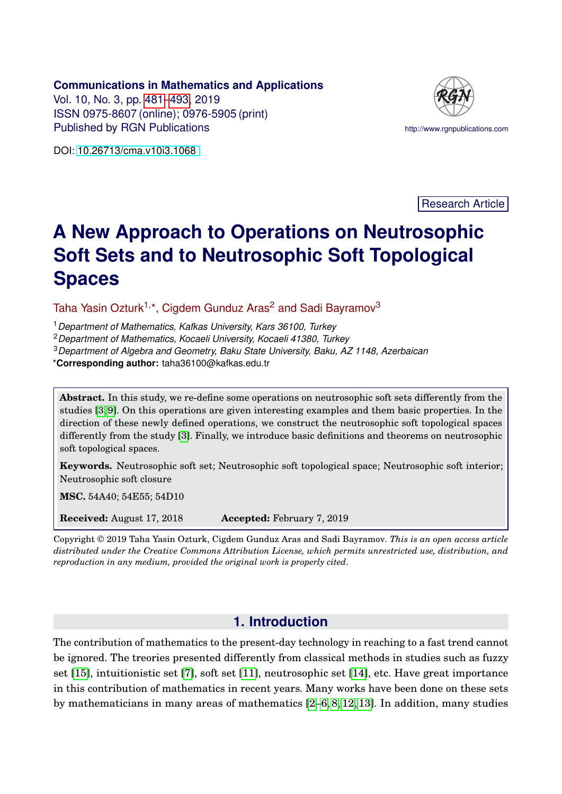#### <span id="page-0-0"></span>**Communications in Mathematics and Applications**

Vol. 10, No. 3, pp. [481](#page-0-0)[–493,](#page-11-0) 2019 ISSN 0975-8607 (online); 0976-5905 (print) Published by RGN Publications **http://www.rgnpublications.com** 



DOI: [10.26713/cma.v10i3.1068](http://doi.org/10.26713/cma.v10i3.1068 )

Research Article

# **A New Approach to Operations on Neutrosophic Soft Sets and to Neutrosophic Soft Topological Spaces**

Taha Yasin Ozturk<sup>1,\*</sup>, Cigdem Gunduz Aras<sup>2</sup> and Sadi Bayramov<sup>3</sup>

<sup>1</sup>*Department of Mathematics, Kafkas University, Kars 36100, Turkey*

<sup>2</sup>*Department of Mathematics, Kocaeli University, Kocaeli 41380, Turkey*

<sup>3</sup>*Department of Algebra and Geometry, Baku State University, Baku, AZ 1148, Azerbaican*

\***Corresponding author:** taha36100@kafkas.edu.tr

**Abstract.** In this study, we re-define some operations on neutrosophic soft sets differently from the studies [\[3,](#page-12-0) [9\]](#page-12-1). On this operations are given interesting examples and them basic properties. In the direction of these newly defined operations, we construct the neutrosophic soft topological spaces differently from the study [\[3\]](#page-12-0). Finally, we introduce basic definitions and theorems on neutrosophic soft topological spaces.

**Keywords.** Neutrosophic soft set; Neutrosophic soft topological space; Neutrosophic soft interior; Neutrosophic soft closure

**MSC.** 54A40; 54E55; 54D10

**Received:** August 17, 2018 **Accepted:** February 7, 2019

Copyright © 2019 Taha Yasin Ozturk, Cigdem Gunduz Aras and Sadi Bayramov. *This is an open access article distributed under the Creative Commons Attribution License, which permits unrestricted use, distribution, and reproduction in any medium, provided the original work is properly cited*.

## **1. Introduction**

The contribution of mathematics to the present-day technology in reaching to a fast trend cannot be ignored. The treories presented differently from classical methods in studies such as fuzzy set [\[15\]](#page-12-2), intuitionistic set [\[7\]](#page-12-3), soft set [\[11\]](#page-12-4), neutrosophic set [\[14\]](#page-12-5), etc. Have great importance in this contribution of mathematics in recent years. Many works have been done on these sets by mathematicians in many areas of mathematics [\[2](#page-12-6)[–6,](#page-12-7) [8,](#page-12-8) [12,](#page-12-9) [13\]](#page-12-10). In addition, many studies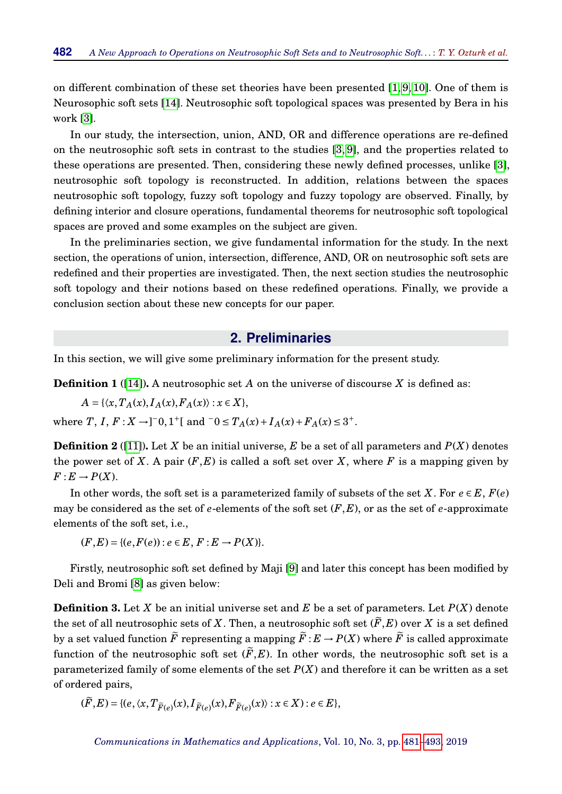on different combination of these set theories have been presented [\[1,](#page-12-11) [9,](#page-12-1) [10\]](#page-12-12). One of them is Neurosophic soft sets [\[14\]](#page-12-5). Neutrosophic soft topological spaces was presented by Bera in his work [\[3\]](#page-12-0).

In our study, the intersection, union, AND, OR and difference operations are re-defined on the neutrosophic soft sets in contrast to the studies [\[3,](#page-12-0) [9\]](#page-12-1), and the properties related to these operations are presented. Then, considering these newly defined processes, unlike [\[3\]](#page-12-0), neutrosophic soft topology is reconstructed. In addition, relations between the spaces neutrosophic soft topology, fuzzy soft topology and fuzzy topology are observed. Finally, by defining interior and closure operations, fundamental theorems for neutrosophic soft topological spaces are proved and some examples on the subject are given.

In the preliminaries section, we give fundamental information for the study. In the next section, the operations of union, intersection, difference, AND, OR on neutrosophic soft sets are redefined and their properties are investigated. Then, the next section studies the neutrosophic soft topology and their notions based on these redefined operations. Finally, we provide a conclusion section about these new concepts for our paper.

## **2. Preliminaries**

In this section, we will give some preliminary information for the present study.

**Definition 1** ([\[14\]](#page-12-5))**.** A neutrosophic set *A* on the universe of discourse *X* is defined as:

 $A = \{ \langle x, T_A(x), I_A(x), F_A(x) \rangle : x \in X \},\$ 

where *T*, *I*, *F* : *X*  $\rightarrow$  ]<sup>-</sup>0,1<sup>+</sup>[ and <sup>-</sup>0 ≤ *T<sub>A</sub>*(*x*) + *I<sub>A</sub>*(*x*) + *F<sub>A</sub>*(*x*) ≤ 3<sup>+</sup>.

**Definition 2** ([\[11\]](#page-12-4)). Let *X* be an initial universe, *E* be a set of all parameters and  $P(X)$  denotes the power set of *X*. A pair  $(F, E)$  is called a soft set over *X*, where *F* is a mapping given by  $F: E \to P(X)$ .

In other words, the soft set is a parameterized family of subsets of the set *X*. For  $e \in E$ ,  $F(e)$ may be considered as the set of *e*-elements of the soft set  $(F, E)$ , or as the set of *e*-approximate elements of the soft set, i.e.,

 $(F, E) = \{(e, F(e)) : e \in E, F : E \rightarrow P(X)\}.$ 

Firstly, neutrosophic soft set defined by Maji [\[9\]](#page-12-1) and later this concept has been modified by Deli and Bromi [\[8\]](#page-12-8) as given below:

**Definition 3.** Let *X* be an initial universe set and *E* be a set of parameters. Let *P*(*X*) denote the set of all neutrosophic sets of *X*. Then, a neutrosophic soft set  $(\widetilde{F}, E)$  over *X* is a set defined by a set valued function  $\widetilde{F}$  representing a mapping  $\widetilde{F}: E \to P(X)$  where  $\widetilde{F}$  is called approximate function of the neutrosophic soft set  $(F, E)$ . In other words, the neutrosophic soft set is a parameterized family of some elements of the set *P*(*X*) and therefore it can be written as a set of ordered pairs,

$$
(\widetilde{F},E) = \{ (e, \langle x, T_{\widetilde{F}(e)}(x), I_{\widetilde{F}(e)}(x), F_{\widetilde{F}(e)}(x) \rangle : x \in X) : e \in E \},\
$$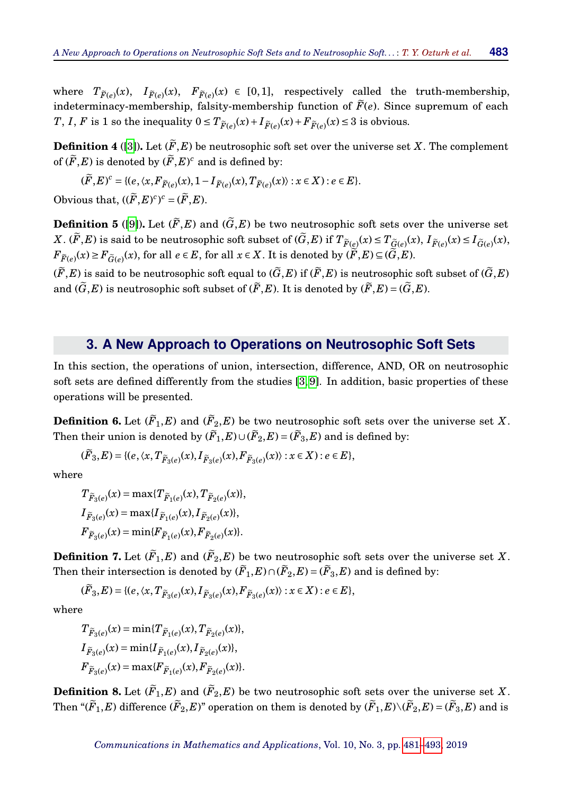where  $T_{\tilde{F}(e)}(x)$ ,  $I_{\tilde{F}(e)}(x)$ ,  $F_{\tilde{F}(e)}(x) \in [0,1]$ , respectively called the truth-membership, indeterminacy-membership, falsity-membership function of  $F(e)$ . Since supremum of each *T*, *I*, *F* is 1 so the inequality  $0 \le T_{\tilde{F}(e)}(x) + I_{\tilde{F}(e)}(x) + F_{\tilde{F}(e)}(x) \le 3$  is obvious.

**Definition 4** ([\[3\]](#page-12-0)). Let  $(\widetilde{F}, E)$  be neutrosophic soft set over the universe set *X*. The complement of  $(\widetilde{F}, E)$  is denoted by  $(\widetilde{F}, E)^c$  and is defined by:

$$
(\widetilde{F},E)^c = \{ (e, \langle x, F_{\widetilde{F}(e)}(x), 1 - I_{\widetilde{F}(e)}(x), T_{\widetilde{F}(e)}(x) \rangle : x \in X) : e \in E \}.
$$

Obvious that,  $((\widetilde{F}, E)^c)^c = (\widetilde{F}, E)$ .

**Definition 5** ([\[9\]](#page-12-1)), Let  $(\tilde{F}, E)$  and  $(\tilde{G}, E)$  be two neutrosophic soft sets over the universe set X.  $(\widetilde{F}, E)$  is said to be neutrosophic soft subset of  $(\widetilde{G}, E)$  if  $T_{\widetilde{F}(e)}(x) \leq T_{\widetilde{G}(e)}(x)$ ,  $I_{\widetilde{F}(e)}(x) \leq I_{\widetilde{G}(e)}(x)$ ,  $F_{\widetilde{F}(e)}(x) \geq F_{\widetilde{G}(e)}(x)$ , for all  $e \in E$ , for all  $x \in X$ . It is denoted by  $(\widetilde{F}, E) \subseteq (\widetilde{G}, E)$ .

 $(\widetilde{F}, E)$  is said to be neutrosophic soft equal to  $(\widetilde{G}, E)$  if  $(\widetilde{F}, E)$  is neutrosophic soft subset of  $(\widetilde{G}, E)$ and  $(\widetilde{G}, E)$  is neutrosophic soft subset of  $(\widetilde{F}, E)$ . It is denoted by  $(\widetilde{F}, E) = (\widetilde{G}, E)$ .

#### **3. A New Approach to Operations on Neutrosophic Soft Sets**

In this section, the operations of union, intersection, difference, AND, OR on neutrosophic soft sets are defined differently from the studies [\[3,](#page-12-0) [9\]](#page-12-1). In addition, basic properties of these operations will be presented.

**Definition 6.** Let  $(\widetilde{F}_1, E)$  and  $(\widetilde{F}_2, E)$  be two neutrosophic soft sets over the universe set *X*. Then their union is denoted by  $(\widetilde{F}_1, E) \cup (\widetilde{F}_2, E) = (\widetilde{F}_3, E)$  and is defined by:

$$
(\widetilde{F}_3,E) = \{ (e, \langle x, T_{\widetilde{F}_3(e)}(x), I_{\widetilde{F}_3(e)}(x), F_{\widetilde{F}_3(e)}(x) \rangle : x \in X) : e \in E \},\
$$

where

$$
T_{\widetilde{F}_3(e)}(x) = \max\{T_{\widetilde{F}_1(e)}(x), T_{\widetilde{F}_2(e)}(x)\},
$$
  
\n
$$
I_{\widetilde{F}_3(e)}(x) = \max\{I_{\widetilde{F}_1(e)}(x), I_{\widetilde{F}_2(e)}(x)\},
$$
  
\n
$$
F_{\widetilde{F}_3(e)}(x) = \min\{F_{\widetilde{F}_1(e)}(x), F_{\widetilde{F}_2(e)}(x)\}.
$$

**Definition 7.** Let  $(\widetilde{F}_1, E)$  and  $(\widetilde{F}_2, E)$  be two neutrosophic soft sets over the universe set *X*. Then their intersection is denoted by  $(\widetilde{F}_1, E) \cap (\widetilde{F}_2, E) = (\widetilde{F}_3, E)$  and is defined by:

$$
(\widetilde{F}_3,E)=\{(e,\langle x,T_{\widetilde{F}_3(e)}(x),I_{\widetilde{F}_3(e)}(x),F_{\widetilde{F}_3(e)}(x)\rangle : x\in X): e\in E\},\
$$

where

$$
T_{\widetilde{F}_3(e)}(x) = \min\{T_{\widetilde{F}_1(e)}(x), T_{\widetilde{F}_2(e)}(x)\},
$$
  
\n
$$
I_{\widetilde{F}_3(e)}(x) = \min\{I_{\widetilde{F}_1(e)}(x), I_{\widetilde{F}_2(e)}(x)\},
$$
  
\n
$$
F_{\widetilde{F}_3(e)}(x) = \max\{F_{\widetilde{F}_1(e)}(x), F_{\widetilde{F}_2(e)}(x)\}.
$$

**Definition 8.** Let  $(\widetilde{F}_1, E)$  and  $(\widetilde{F}_2, E)$  be two neutrosophic soft sets over the universe set *X*. Then " $(\widetilde{F}_1, E)$  difference  $(\widetilde{F}_2, E)$ " operation on them is denoted by  $(\widetilde{F}_1, E) \setminus (\widetilde{F}_2, E) = (\widetilde{F}_3, E)$  and is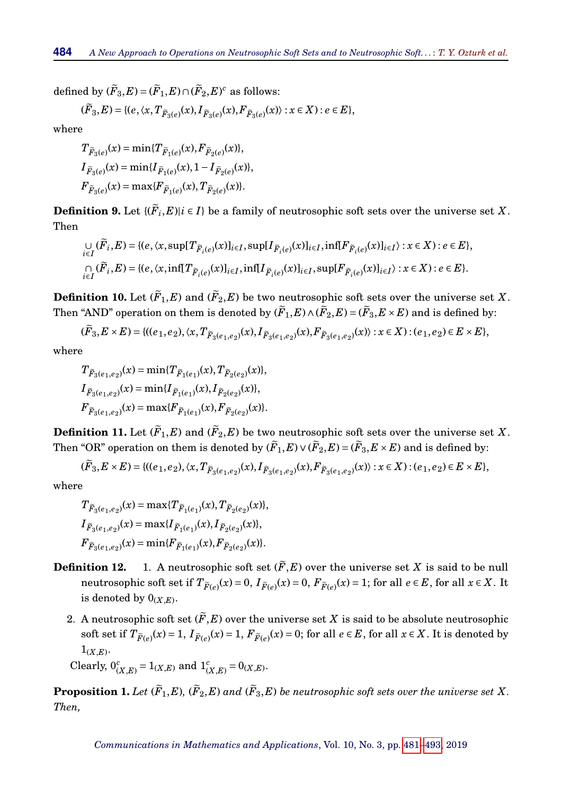defined by  $(\widetilde{F}_3, E) = (\widetilde{F}_1, E) \cap (\widetilde{F}_2, E)^c$  as follows:

$$
(\widetilde{F}_3,E) = \{ (e, \langle x, T_{\widetilde{F}_3(e)}(x), I_{\widetilde{F}_3(e)}(x), F_{\widetilde{F}_3(e)}(x) \rangle : x \in X \} : e \in E \},\
$$

where

$$
T_{\widetilde{F}_3(e)}(x) = \min\{T_{\widetilde{F}_1(e)}(x), F_{\widetilde{F}_2(e)}(x)\},
$$
  
\n
$$
I_{\widetilde{F}_3(e)}(x) = \min\{I_{\widetilde{F}_1(e)}(x), 1 - I_{\widetilde{F}_2(e)}(x)\},
$$
  
\n
$$
F_{\widetilde{F}_3(e)}(x) = \max\{F_{\widetilde{F}_1(e)}(x), T_{\widetilde{F}_2(e)}(x)\}.
$$

**Definition 9.** Let  $\{(\widetilde{F}_i, E) | i \in I\}$  be a family of neutrosophic soft sets over the universe set *X*. Then

$$
\bigcup_{i\in I} (\widetilde{F}_i, E) = \{(e, \langle x, \sup[T_{\widetilde{F}_i(e)}(x)]_{i\in I}, \sup[I_{\widetilde{F}_i(e)}(x)]_{i\in I}, \inf[T_{\widetilde{F}_i(e)}(x)]_{i\in I}\rangle : x \in X) : e \in E\},\
$$
\n
$$
\bigcap_{i\in I} (\widetilde{F}_i, E) = \{(e, \langle x, \inf[T_{\widetilde{F}_i(e)}(x)]_{i\in I}, \inf[I_{\widetilde{F}_i(e)}(x)]_{i\in I}, \sup[F_{\widetilde{F}_i(e)}(x)]_{i\in I}\rangle : x \in X) : e \in E\}.
$$

**Definition 10.** Let  $(\widetilde{F}_1, E)$  and  $(\widetilde{F}_2, E)$  be two neutrosophic soft sets over the universe set *X*. Then "AND" operation on them is denoted by  $(\widetilde{F}_1, E) \wedge (\widetilde{F}_2, E) = (\widetilde{F}_3, E \times E)$  and is defined by:

$$
(\widetilde{F}_3, E \times E) = \{((e_1, e_2), (x, T_{\widetilde{F}_3(e_1, e_2)}(x), I_{\widetilde{F}_3(e_1, e_2)}(x), F_{\widetilde{F}_3(e_1, e_2)}(x)) : x \in X): (e_1, e_2) \in E \times E\},\
$$

where

$$
\begin{aligned} T_{\widetilde{F}_3(e_1,e_2)}(x) &= \min\{T_{\widetilde{F}_1(e_1)}(x), T_{\widetilde{F}_2(e_2)}(x)\}, \\ I_{\widetilde{F}_3(e_1,e_2)}(x) &= \min\{I_{\widetilde{F}_1(e_1)}(x), I_{\widetilde{F}_2(e_2)}(x)\}, \\ F_{\widetilde{F}_3(e_1,e_2)}(x) &= \max\{F_{\widetilde{F}_1(e_1)}(x), F_{\widetilde{F}_2(e_2)}(x)\}. \end{aligned}
$$

**Definition 11.** Let  $(\widetilde{F}_1, E)$  and  $(\widetilde{F}_2, E)$  be two neutrosophic soft sets over the universe set *X*. Then "OR" operation on them is denoted by  $(\widetilde{F}_1, E) \vee (\widetilde{F}_2, E) = (\widetilde{F}_3, E \times E)$  and is defined by:

 $(\widetilde{F}_3, E \times E) = \{((e_1, e_2), \langle x, T_{\widetilde{F}_3(e_1, e_2)}(x), I_{\widetilde{F}_3(e_1, e_2)}(x), F_{\widetilde{F}_3(e_1, e_2)}(x) \rangle : x \in X) : (e_1, e_2) \in E \times E\},$ 

where

$$
T_{\widetilde{F}_3(e_1,e_2)}(x) = \max\{T_{\widetilde{F}_1(e_1)}(x), T_{\widetilde{F}_2(e_2)}(x)\},
$$
  
\n
$$
I_{\widetilde{F}_3(e_1,e_2)}(x) = \max\{I_{\widetilde{F}_1(e_1)}(x), I_{\widetilde{F}_2(e_2)}(x)\},
$$
  
\n
$$
F_{\widetilde{F}_3(e_1,e_2)}(x) = \min\{F_{\widetilde{F}_1(e_1)}(x), F_{\widetilde{F}_2(e_2)}(x)\}.
$$

- **Definition 12.** 1. A neutrosophic soft set  $(\widetilde{F}, E)$  over the universe set *X* is said to be null neutrosophic soft set if  $T_{\tilde{F}(e)}(x) = 0$ ,  $I_{\tilde{F}(e)}(x) = 0$ ,  $F_{\tilde{F}(e)}(x) = 1$ ; for all  $e \in E$ , for all  $x \in X$ . It is denoted by  $0_{(X,E)}.$ 
	- 2. A neutrosophic soft set  $(\widetilde{F}, E)$  over the universe set X is said to be absolute neutrosophic soft set if  $T_{\widetilde{F}(e)}(x) = 1$ ,  $I_{\widetilde{F}(e)}(x) = 1$ ,  $F_{\widetilde{F}(e)}(x) = 0$ ; for all  $e \in E$ , for all  $x \in X$ . It is denoted by  $1_{(X,E)}$ .

Clearly,  $0_{(X,E)}^c = 1_{(X,E)}$  and  $1_{(X,E)}^c = 0_{(X,E)}$ .

**Proposition 1.** *Let*  $(\widetilde{F}_1, E)$ *,*  $(\widetilde{F}_2, E)$  *and*  $(\widetilde{F}_3, E)$  *be neutrosophic soft sets over the universe set X. Then,*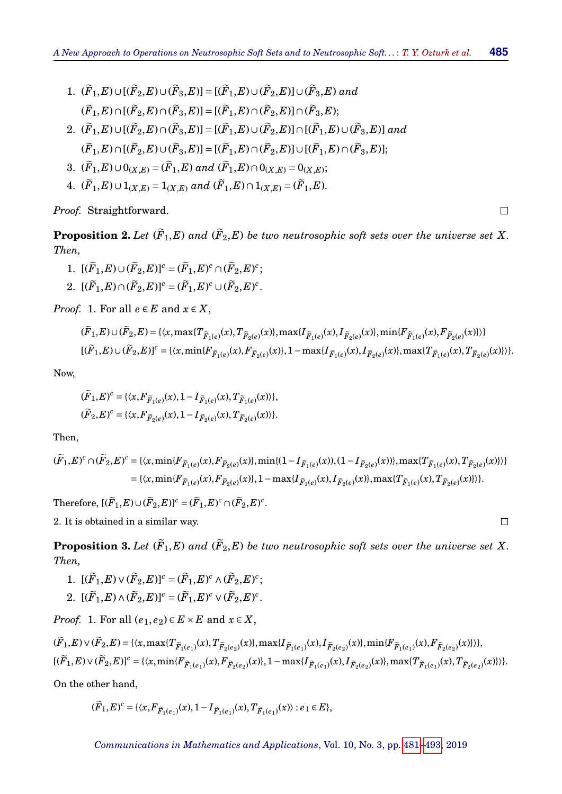- 1.  $(\widetilde{F}_1, E) \cup [(\widetilde{F}_2, E) \cup (\widetilde{F}_3, E)] = [(\widetilde{F}_1, E) \cup (\widetilde{F}_2, E)] \cup (\widetilde{F}_3, E)$  and  $(\widetilde{F}_1, E) \cap [(\widetilde{F}_2, E) \cap (\widetilde{F}_3, E)] = [(\widetilde{F}_1, E) \cap (\widetilde{F}_2, E)] \cap (\widetilde{F}_3, E);$
- 2.  $(\widetilde{F}_1, E) \cup [(\widetilde{F}_2, E) \cap (\widetilde{F}_3, E)] = [(\widetilde{F}_1, E) \cup (\widetilde{F}_2, E)] \cap [(\widetilde{F}_1, E) \cup (\widetilde{F}_3, E)]$  and  $(\widetilde{F}_1, E) \cap [(\widetilde{F}_2, E) \cup (\widetilde{F}_3, E)] = [(\widetilde{F}_1, E) \cap (\widetilde{F}_2, E)] \cup [(\widetilde{F}_1, E) \cap (\widetilde{F}_3, E)];$
- 3.  $(\widetilde{F}_1, E) \cup 0_{(X,E)} = (\widetilde{F}_1, E) \text{ and } (\widetilde{F}_1, E) \cap 0_{(X,E)} = 0_{(X,E)};$
- 4.  $(\widetilde{F}_1, E) \cup 1_{(\overline{X}, E)} = 1_{(\overline{X}, E)}$  and  $(\widetilde{F}_1, E) \cap 1_{(\overline{X}, E)} = (\widetilde{F}_1, E)$ .

*Proof.* Straightforward.

**Proposition 2.** Let  $(\widetilde{F}_1, E)$  and  $(\widetilde{F}_2, E)$  be two neutrosophic soft sets over the universe set X. *Then,*

1.  $[(\tilde{F}_1, E) \cup (\tilde{F}_2, E)]^c = (\tilde{F}_1, E)^c \cap (\tilde{F}_2, E)^c;$ 2.  $[(\tilde{F}_1, E) \cap (\tilde{F}_2, E)]^c = (\tilde{F}_1, E)^c \cup (\tilde{F}_2, E)^c$ .

*Proof.* 1. For all  $e \in E$  and  $x \in X$ ,

$$
(\widetilde{F}_1, E) \cup (\widetilde{F}_2, E) = \{ \langle x, \max\{T_{\widetilde{F}_1(e)}(x), T_{\widetilde{F}_2(e)}(x)\}, \max\{I_{\widetilde{F}_1(e)}(x), I_{\widetilde{F}_2(e)}(x)\}, \min\{F_{\widetilde{F}_1(e)}(x), F_{\widetilde{F}_2(e)}(x)\} \rangle \}
$$
  

$$
[(\widetilde{F}_1, E) \cup (\widetilde{F}_2, E)]^c = \{ \langle x, \min\{F_{\widetilde{F}_1(e)}(x), F_{\widetilde{F}_2(e)}(x)\}, 1 - \max\{I_{\widetilde{F}_1(e)}(x), I_{\widetilde{F}_2(e)}(x)\}, \max\{T_{\widetilde{F}_1(e)}(x), T_{\widetilde{F}_2(e)}(x)\} \rangle \}.
$$

Now,

$$
\begin{aligned} (\widetilde{F}_1,E)^c &= \{ \langle x, F_{\widetilde{F}_1(e)}(x), 1 - I_{\widetilde{F}_1(e)}(x), T_{\widetilde{F}_1(e)}(x) \rangle \}, \\ (\widetilde{F}_2,E)^c &= \{ \langle x, F_{\widetilde{F}_2(e)}(x), 1 - I_{\widetilde{F}_2(e)}(x), T_{\widetilde{F}_2(e)}(x) \rangle \}. \end{aligned}
$$

Then,

$$
\begin{aligned} (\widetilde{F}_1,E)^c \cap (\widetilde{F}_2,E)^c = & \ \ \{\langle x,\min\{F_{\widetilde{F}_1(e)}(x),F_{\widetilde{F}_2(e)}(x)\},\min\{(1-I_{\widetilde{F}_1(e)}(x)),(1-I_{\widetilde{F}_2(e)}(x))\},\max\{T_{\widetilde{F}_1(e)}(x),T_{\widetilde{F}_2(e)}(x)\}\rangle\} \\ & = \{\langle x,\min\{F_{\widetilde{F}_1(e)}(x),F_{\widetilde{F}_2(e)}(x)\},1-\max\{I_{\widetilde{F}_1(e)}(x),I_{\widetilde{F}_2(e)}(x)\},\max\{T_{\widetilde{F}_1(e)}(x),T_{\widetilde{F}_2(e)}(x)\}\rangle\}. \end{aligned}
$$

 $\text{Therefore, } [(\widetilde{F}_1, E) \cup (\widetilde{F}_2, E)]^c = (\widetilde{F}_1, E)^c \cap (\widetilde{F}_2, E)^c.$ 

2. It is obtained in a similar way.

<span id="page-4-0"></span>**Proposition 3.** Let  $(\widetilde{F}_1, E)$  and  $(\widetilde{F}_2, E)$  be two neutrosophic soft sets over the universe set X. *Then,*

1.  $[(\tilde{F}_1, E) \vee (\tilde{F}_2, E)]^c = (\tilde{F}_1, E)^c \wedge (\tilde{F}_2, E)^c;$ 2.  $[(\tilde{F}_1, E) \wedge (\tilde{F}_2, E)]^c = (\tilde{F}_1, E)^c \vee (\tilde{F}_2, E)^c$ .

*Proof.* 1. For all  $(e_1, e_2) \in E \times E$  and  $x \in X$ ,

 $(\widetilde{F}_1, E) \vee (\widetilde{F}_2, E) = \{ \langle x, \max \{ T_{\widetilde{F}_1(e_1)}(x), T_{\widetilde{F}_2(e_2)}(x) \}, \max \{ I_{\widetilde{F}_1(e_1)}(x), I_{\widetilde{F}_2(e_2)}(x) \}, \min \{ F_{\widetilde{F}_1(e_1)}(x), F_{\widetilde{F}_2(e_2)}(x) \} \rangle \},$  $[(\widetilde{F}_1,E)\vee(\widetilde{F}_2,E)]^c=\{\langle x,\min \{F_{\widetilde{F}_1(e_1)}(x),F_{\widetilde{F}_2(e_2)}(x)\},1-\max \{I_{\widetilde{F}_1(e_1)}(x),I_{\widetilde{F}_2(e_2)}(x)\},\max \{T_{\widetilde{F}_1(e_1)}(x),T_{\widetilde{F}_2(e_2)}(x)\}\rangle\}.$ 

On the other hand,

$$
(\widetilde{F}_{1},E)^{c}=\{\langle x, F_{\widetilde{F}_{1}(e_{1})}(x), 1-I_{\widetilde{F}_{1}(e_{1})}(x), T_{\widetilde{F}_{1}(e_{1})}(x)\rangle : e_{1}\in E\},
$$

*Communications in Mathematics and Applications*, Vol. 10, No. 3, pp. [481–](#page-0-0)[493,](#page-11-0) 2019

 $\Box$ 

 $\Box$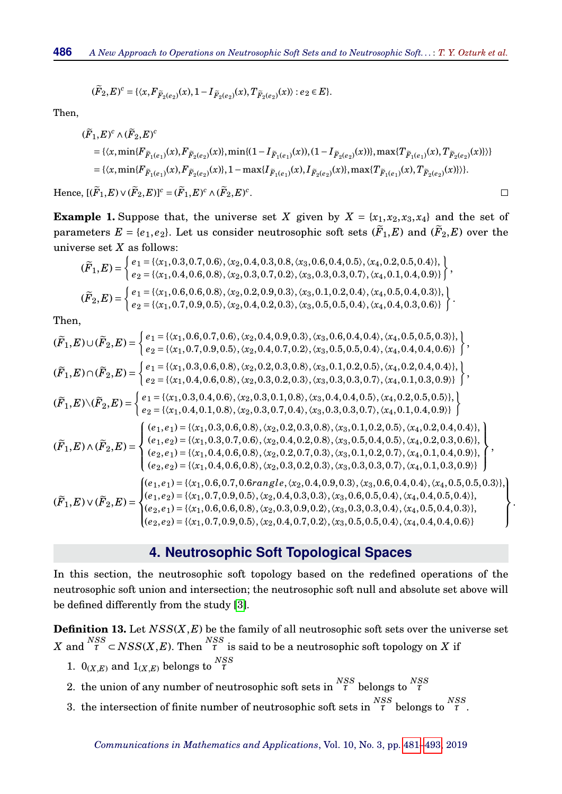$$
(\widetilde{F}_2,E)^c = \{ \langle x, F_{\widetilde{F}_2(e_2)}(x), 1 - I_{\widetilde{F}_2(e_2)}(x), T_{\widetilde{F}_2(e_2)}(x) \rangle : e_2 \in E \}.
$$

Then,

$$
\begin{split} &(\widetilde{F}_{1},E)^{c}\wedge(\widetilde{F}_{2},E)^{c}\\ &=\{\langle x,\min\{F_{\widetilde{F}_{1}(e_{1})}(x),F_{\widetilde{F}_{2}(e_{2})}(x)\},\min\{(1-I_{\widetilde{F}_{1}(e_{1})}(x)),(1-I_{\widetilde{F}_{2}(e_{2})}(x))\},\max\{T_{\widetilde{F}_{1}(e_{1})}(x),T_{\widetilde{F}_{2}(e_{2})}(x)\}\rangle\} \\ &=\{\langle x,\min\{F_{\widetilde{F}_{1}(e_{1})}(x),F_{\widetilde{F}_{2}(e_{2})}(x)\},1-\max\{I_{\widetilde{F}_{1}(e_{1})}(x),I_{\widetilde{F}_{2}(e_{2})}(x)\}\rangle,\max\{T_{\widetilde{F}_{1}(e_{1})}(x),T_{\widetilde{F}_{2}(e_{2})}(x)\}\rangle\}.\end{split}
$$

 $\Box$ 

 $Hence, [(\widetilde{F}_1, E) \vee (\widetilde{F}_2, E)]^c = (\widetilde{F}_1, E)^c \wedge (\widetilde{F}_2, E)^c.$ 

**Example 1.** Suppose that, the universe set *X* given by  $X = \{x_1, x_2, x_3, x_4\}$  and the set of parameters  $E = \{e_1, e_2\}$ . Let us consider neutrosophic soft sets  $(\widetilde{F}_1, E)$  and  $(\widetilde{F}_2, E)$  over the universe set *X* as follows:

$$
(\widetilde{F}_1, E) = \begin{cases} e_1 = \{ \langle x_1, 0.3, 0.7, 0.6 \rangle, \langle x_2, 0.4, 0.3, 0.8, \langle x_3, 0.6, 0.4, 0.5 \rangle, \langle x_4, 0.2, 0.5, 0.4 \rangle \}, \\ e_2 = \{ \langle x_1, 0.4, 0.6, 0.8 \rangle, \langle x_2, 0.3, 0.7, 0.2 \rangle, \langle x_3, 0.3, 0.3, 0.7 \rangle, \langle x_4, 0.1, 0.4, 0.9 \rangle \} \end{cases},
$$
  
\n
$$
(\widetilde{F}_2, E) = \begin{cases} e_1 = \{ \langle x_1, 0.6, 0.6, 0.8 \rangle, \langle x_2, 0.2, 0.9, 0.3 \rangle, \langle x_3, 0.1, 0.2, 0.4 \rangle, \langle x_4, 0.5, 0.4, 0.3 \rangle \}, \\ e_2 = \{ \langle x_1, 0.7, 0.9, 0.5 \rangle, \langle x_2, 0.4, 0.2, 0.3 \rangle, \langle x_3, 0.5, 0.5, 0.4 \rangle, \langle x_4, 0.4, 0.3, 0.6 \rangle \} \end{cases}
$$

Then,

$$
(\tilde{F}_1, E) \cup (\tilde{F}_2, E) = \begin{cases} e_1 = \{(\x_1, 0.6, 0.7, 0.6), (\x_2, 0.4, 0.9, 0.3), (\x_3, 0.6, 0.4, 0.4), (\x_4, 0.5, 0.5, 0.3)\}, \\ e_2 = \{(\x_1, 0.7, 0.9, 0.5), (\x_2, 0.4, 0.7, 0.2), (\x_3, 0.5, 0.5, 0.4), (\x_4, 0.4, 0.4, 0.6)\} \end{cases},
$$
  
\n
$$
(\tilde{F}_1, E) \cap (\tilde{F}_2, E) = \begin{cases} e_1 = \{(\x_1, 0.3, 0.6, 0.8), (\x_2, 0.2, 0.3, 0.8), (\x_3, 0.1, 0.2, 0.5), (\x_4, 0.2, 0.4, 0.4)\}, \\ e_2 = \{(\x_1, 0.4, 0.6, 0.8), (\x_2, 0.3, 0.2, 0.3), (\x_3, 0.3, 0.3, 0.7), (\x_4, 0.1, 0.3, 0.9)\} \end{cases},
$$
  
\n
$$
(\tilde{F}_1, E) \setminus (\tilde{F}_2, E) = \begin{cases} e_1 = \{(\x_1, 0.3, 0.4, 0.6), (\x_2, 0.3, 0.1, 0.8), (\x_3, 0.4, 0.4, 0.5), (\x_4, 0.2, 0.5, 0.5)\}, \\ e_2 = \{(\x_1, 0.4, 0.1, 0.8), (\x_2, 0.3, 0.7, 0.4), (\x_3, 0.3, 0.3, 0.7), (\x_4, 0.1, 0.4, 0.9)\} \end{cases},
$$
  
\n
$$
(\tilde{F}_1, E) \wedge (\tilde{F}_2, E) = \begin{cases} e_1 = \{(\x_1, 0.3, 0.4, 0.6), (\x_2, 0.3, 0.1, 0.8), (\x_3, 0.4, 0.4, 0.5), (\x_
$$

## **4. Neutrosophic Soft Topological Spaces**

In this section, the neutrosophic soft topology based on the redefined operations of the neutrosophic soft union and intersection; the neutrosophic soft null and absolute set above will be defined differently from the study [\[3\]](#page-12-0).

**Definition 13.** Let  $NSS(X, E)$  be the family of all neutrosophic soft sets over the universe set  $X$  and  $\overline{X}^{NSS}_t \subset NSS(X,E)$ . Then  $\overline{X}^{NS}$  is said to be a neutrosophic soft topology on  $X$  if

- 1.  $0_{(X,E)}$  and  $1_{(X,E)}$  belongs to  $\int_{-\pi}^{NSS}$
- 2. the union of any number of neutrosophic soft sets in *NSS <sup>τ</sup>* belongs to *NSS τ*
- 3. the intersection of finite number of neutrosophic soft sets in *NSS <sup>τ</sup>* belongs to *NSS τ* .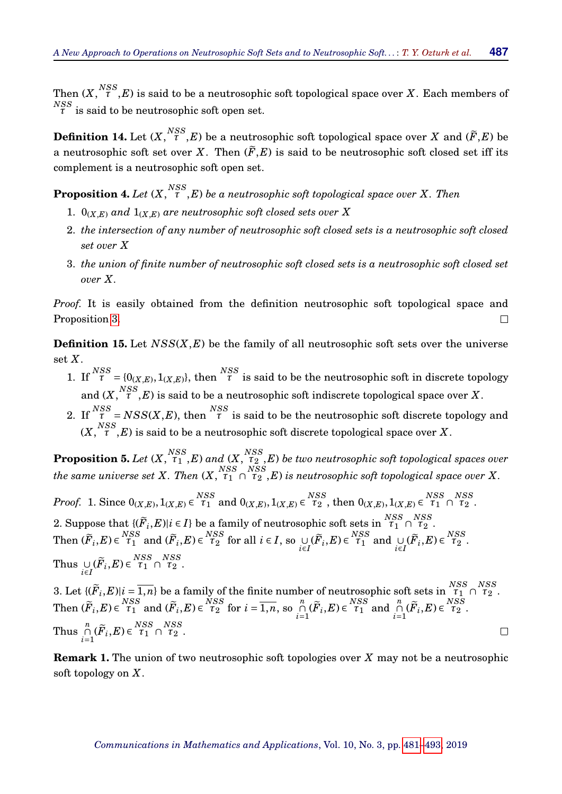Then  $(X, \overset{NSS}{\tau}, E)$  is said to be a neutrosophic soft topological space over  $X.$  Each members of *NSS τ* is said to be neutrosophic soft open set.

**Definition 14.** Let  $(X, \overset{NSS}{\tau}, E)$  be a neutrosophic soft topological space over  $X$  and  $(\widetilde{F}, E)$  be a neutrosophic soft set over *X*. Then  $(F, E)$  is said to be neutrosophic soft closed set iff its complement is a neutrosophic soft open set.

**Proposition 4.** Let  $(X, \overset{NSS}{\tau}, E)$  be a neutrosophic soft topological space over  $X$  . Then

- 1.  $0_{(X,E)}$  and  $1_{(X,E)}$  are neutrosophic soft closed sets over X
- 2. *the intersection of any number of neutrosophic soft closed sets is a neutrosophic soft closed set over X*
- 3. *the union of finite number of neutrosophic soft closed sets is a neutrosophic soft closed set over X .*

*Proof.* It is easily obtained from the definition neutrosophic soft topological space and Proposition [3.](#page-4-0)  $\Box$ 

**Definition 15.** Let  $NSS(X, E)$  be the family of all neutrosophic soft sets over the universe set  $X$ .

- 1. If  $\frac{NSS}{\tau} = \{0_{(X,E)}, 1_{(X,E)}\}$ , then  $\frac{NSS}{\tau}$  is said to be the neutrosophic soft in discrete topology and  $(X, \mathop{{T}}\limits^{NSS}, E)$  is said to be a neutrosophic soft indiscrete topological space over  $X.$
- 2. If  $\frac{NSS}{\tau}$  =  $NSS(X,E)$ , then  $\frac{NSS}{\tau}$  is said to be the neutrosophic soft discrete topology and  $(X, \overset{NSS}{\tau}, E)$  is said to be a neutrosophic soft discrete topological space over  $X.$

**Proposition 5.** Let  $(X, \overset{NSS}{\tau_1}, E)$  and  $(X, \overset{NSS}{\tau_2}, E)$  be two neutrosophic soft topological spaces over  $t$ he same universe set  $X$ . Then  $(X, \frac{NSS}{\tau_1} \cap \frac{NSS}{\tau_2}$ , $E$ ) is neutrosophic soft topological space over  $X$ .

*Proof.* 1. Since  $0_{(X,E)}, 1_{(X,E)} \in \begin{bmatrix} NSS \\ \tau_1 \end{bmatrix}$  and  $0_{(X,E)}, 1_{(X,E)} \in \begin{bmatrix} NSS \\ \tau_2 \end{bmatrix}$ , then  $0_{(X,E)}, 1_{(X,E)} \in \begin{bmatrix} NSS & NSS \\ \tau_1 \end{bmatrix}$ 2. Suppose that  $\{(\widetilde{F}_i, E) | i \in I\}$  be a family of neutrosophic soft sets in  $\begin{bmatrix} NSS & NSS \\ T_1 & 0 & T_2 \end{bmatrix}$ . Then  $(\widetilde{F}_i, E) \in \frac{NSS}{\tau_1}$  and  $(\widetilde{F}_i, E) \in \frac{NSS}{\tau_2}$  for all  $i \in I$ , so  $\bigcup\limits_{i \in I} (\widetilde{F}_i, E) \in \frac{NSS}{\tau_1}$  and  $\bigcup\limits_{i \in I} (\widetilde{F}_i, E) \in \frac{NSS}{\tau_2}$ . Thus  $\bigcup_{i \in I} (\widetilde{F}_i, E) \in \begin{matrix} NSS & NSS \\ \tau_1 & \cap & \tau_2 \end{matrix}$ .

3. Let  $\{(\widetilde{F}_i, E) | i = \overline{1, n}\}$  be a family of the finite number of neutrosophic soft sets in  $\frac{NSS}{l_1} \cap \frac{NSS}{l_2}$ . Then  $(\widetilde{F}_i, E) \in \begin{matrix} NSS \\ \tau_1 \end{matrix}$  and  $(\widetilde{F}_i, E) \in \begin{matrix} NSS \\ \tau_2 \end{matrix}$  for  $i = \overline{1, n}$ , so  $\bigcap_{i=1}^n$  $\bigcap_{i=1}^{n} (\widetilde{F}_i, E) \in \begin{matrix} NSS \\ \tau_1 \end{matrix}$  and  $\bigcap_{i=1}^{n}$  $\bigcap_{i=1}^n (\widetilde{F}_i, E) \in \frac{NSS}{\tau_2}$ . Thus *n* ∩  $\bigcap_{i=1}^n (\widetilde{F}_i, E) \in \begin{matrix} NSS & NSS \\ \tau_1 & \cap & \tau_2 \end{matrix}$ .  $\Box$ 

**Remark 1.** The union of two neutrosophic soft topologies over *X* may not be a neutrosophic soft topology on *X* .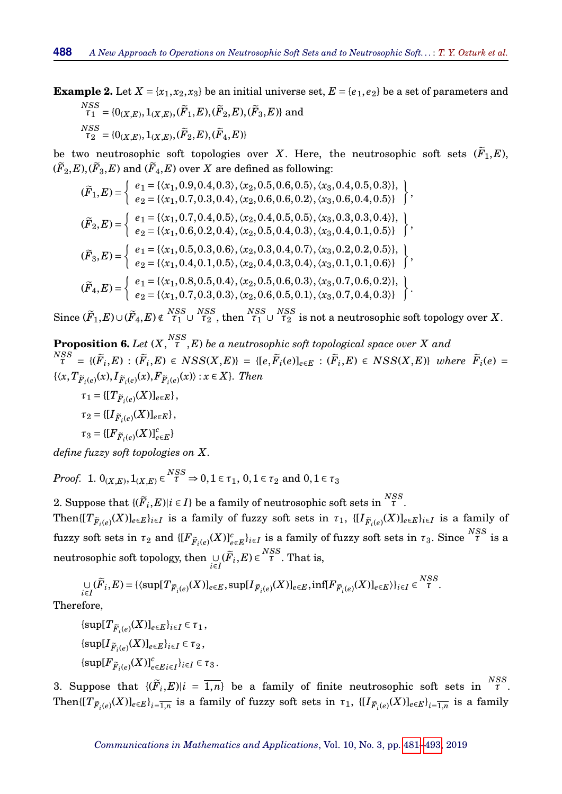<span id="page-7-0"></span>**Example 2.** Let  $X = \{x_1, x_2, x_3\}$  be an initial universe set,  $E = \{e_1, e_2\}$  be a set of parameters and  ${}_{\tau_1}^{NSS} = \{0_{(X,E)}, 1_{(X,E)}, (\widetilde{F}_1, E), (\widetilde{F}_2, E), (\widetilde{F}_3, E)\}$  and

$$
\mathcal{T}_2^{NSS} = \{0_{(X,E)}, 1_{(X,E)}, (\widetilde{F}_2, E), (\widetilde{F}_4, E)\}
$$

be two neutrosophic soft topologies over *X*. Here, the neutrosophic soft sets  $(\tilde{F}_1, E)$ ,  $(\widetilde{F}_2, E), (\widetilde{F}_3, E)$  and  $(\widetilde{F}_4, E)$  over X are defined as following:

$$
(\widetilde{F}_1, E) = \begin{cases} e_1 = \{ \langle x_1, 0.9, 0.4, 0.3 \rangle, \langle x_2, 0.5, 0.6, 0.5 \rangle, \langle x_3, 0.4, 0.5, 0.3 \rangle \}, \\ e_2 = \{ \langle x_1, 0.7, 0.3, 0.4 \rangle, \langle x_2, 0.6, 0.6, 0.2 \rangle, \langle x_3, 0.6, 0.4, 0.5 \rangle \} \end{cases},
$$
  
\n
$$
(\widetilde{F}_2, E) = \begin{cases} e_1 = \{ \langle x_1, 0.7, 0.4, 0.5 \rangle, \langle x_2, 0.4, 0.5, 0.5 \rangle, \langle x_3, 0.3, 0.3, 0.4 \rangle \}, \\ e_2 = \{ \langle x_1, 0.6, 0.2, 0.4 \rangle, \langle x_2, 0.5, 0.4, 0.3 \rangle, \langle x_3, 0.4, 0.1, 0.5 \rangle \} \end{cases},
$$
  
\n
$$
(\widetilde{F}_3, E) = \begin{cases} e_1 = \{ \langle x_1, 0.5, 0.3, 0.6 \rangle, \langle x_2, 0.3, 0.4, 0.7 \rangle, \langle x_3, 0.2, 0.2, 0.5 \rangle \}, \\ e_2 = \{ \langle x_1, 0.4, 0.1, 0.5 \rangle, \langle x_2, 0.4, 0.3, 0.4 \rangle, \langle x_3, 0.1, 0.1, 0.6 \rangle \} \end{cases},
$$
  
\n
$$
(\widetilde{F}_4, E) = \begin{cases} e_1 = \{ \langle x_1, 0.8, 0.5, 0.4 \rangle, \langle x_2, 0.5, 0.6, 0.3 \rangle, \langle x_3, 0.7, 0.6, 0.2 \rangle \}, \\ e_2 = \{ \langle x_1, 0.7, 0.3, 0.3 \rangle, \langle x_2, 0.6, 0.5, 0.1 \rangle, \langle x_3, 0.7, 0.4, 0.3 \rangle \} \end{cases}.
$$

 $Sinee (\widetilde{F}_1, E) \cup (\widetilde{F}_4, E) \notin \frac{NSS}{\tau_1} \cup \frac{NSS}{\tau_2}$ , then  $\frac{NSS}{\tau_1} \cup \frac{NSS}{\tau_2}$  is not a neutrosophic soft topology over *X*.

**Proposition 6.** Let  $(X, \overset{NSS}{\tau}, E)$  be a neutrosophic soft topological space over  $X$  and  $\widetilde{H}^{NSS}_{\tau} = \{(\widetilde{F}_i, E) : (\widetilde{F}_i, E) \in NSS(X, E)\} = \{[e, \widetilde{F}_i(e)]_{e \in E} : (\widetilde{F}_i, E) \in NSS(X, E)\}$  where  $\widetilde{F}_i(e) =$  $\{\langle x, T_{\widetilde{F}_i(e)}(x), I_{\widetilde{F}_i(e)}(x), F_{\widetilde{F}_i(e)}(x)\rangle : x \in X\}$ . Then  $\tau_1 = \{ [T_{\widetilde{F}_i(e)}(X)]_{e \in E} \},$ 

$$
\tau_2 = \{ [I_{\widetilde{F}_i(e)}(X)]_{e \in E} \},
$$

 $\tau_3 = \{ [F_{\widetilde{F}_i(e)}(X)]_{e \in E}^c \}$ 

*define fuzzy soft topologies on X .*

 $Proof. \ \ 1. \ 0_{(X,E)}, 1_{(X,E)} \in \stackrel{NSS}{\tau} \Rightarrow 0, 1 \in \tau_1, \ 0, 1 \in \tau_2 \ \ \text{and} \ \ 0, 1 \in \tau_3$ 

2. Suppose that  $\{(\widetilde{F}_i, E)|i \in I\}$  be a family of neutrosophic soft sets in  $\int_{\tau}^{NSS}$ . Then  $\{ [T_{\tilde{F}_i(e)}(X)]_{e \in E} \}_{i \in I}$  is a family of fuzzy soft sets in  $\tau_1$ ,  $\{ [I_{\tilde{F}_i(e)}(X)]_{e \in E} \}_{i \in I}$  is a family of fuzzy soft sets in  $\tau_2$  and  $\{[F_{\widetilde{F}_i(e)}(X)]_{e\in E}^c\}_{i\in I}$  is a family of fuzzy soft sets in  $\tau_3$ . Since  $\frac{NSS}{\tau}$  is a  $\text{neutrosophic soft topology, then } \bigcup_{i \in I} (\widetilde{F}_i, E) \in \frac{NSS}{\tau}. \text{ That is,}$ 

$$
\bigcup_{i\in I}(\widetilde{F}_i,E)=\{\langle \sup[T_{\widetilde{F}_i(e)}(X)]_{e\in E},\sup[T_{\widetilde{F}_i(e)}(X)]_{e\in E},\inf[T_{\widetilde{F}_i(e)}(X)]_{e\in E}\rangle\}_{i\in I}\in\frac{NSS}{\tau}.
$$

Therefore,

 $\{\sup[T_{\widetilde{F}_i(e)}(X)\}_{e\in E}\}_{i\in I} \in \tau_1$ ,  $\{\sup[I_{\widetilde{F}_i(e)}(X)\}_{e\in E}\}_{i\in I} \in \tau_2$ ,  $\{\sup[F_{\widetilde{F}_i(e)}(X)]_{e\in E}^c\}_{i\in I}\}_{i\in I} \in \tau_3$ .

3. Suppose that  $\{(\widetilde{F}_i, E)|i = \overline{1,n}\}$  be a family of finite neutrosophic soft sets in  $\overline{r}^{NSS}$ .  $\mathrm{Then}\{\!\!\{[T_{\tilde F_i(e)}(X)]_{e\in E}\}_{i=\overline{1,n}}\!\!\}\; \mathrm{is \; a \; family \; of \; fuzzy \; soft \; sets \; in \; \tau_1, \; \{\!\!\{[I_{\tilde F_i(e)}(X)]_{e\in E}\}_{i=\overline{1,n}}\!\!\}\; \mathrm{is \; a \; family}$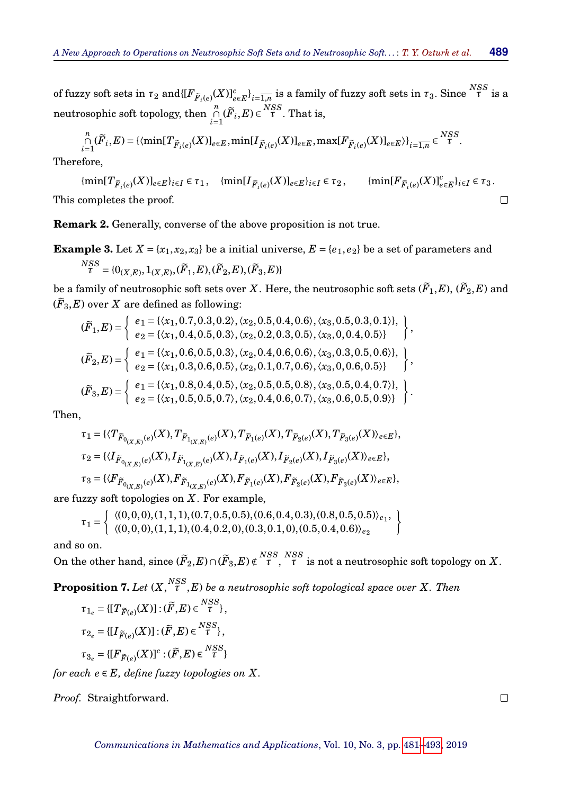of fuzzy soft sets in  $\tau_2$  and  $\{[F_{\widetilde{F}_i(e)}(X)]_{e\in E}^c\}_{i=\overline{1,n}}$  is a family of fuzzy soft sets in  $\tau_3$ . Since  $\overset{NSS}{\tau}$  is a neutrosophic soft topology, then *n* ∩  $\mathop{\cap}\limits_{i=1}^n(\widetilde{F}_i, E)\!\in\!\frac{NSS}{\tau}.$  That is,

$$
\bigcap_{i=1}^n (\widetilde{F}_i, E) = {\langle \min\{T_{\widetilde{F}_i(e)}(X)\}_{e\in E}, \min\{I_{\widetilde{F}_i(e)}(X)\}_{e\in E}, \max\{F_{\widetilde{F}_i(e)}(X)\}_{e\in E}\rangle}_{i=\overline{1,n}} \in \mathcal{K}^{NSS}_{\tau}.
$$

Therefore,

 $\{\min[T_{\widetilde{F}_i(e)}(X)]_{e\in E}\}_{i\in I}\in \tau_1$ ,  $\{\min[I_{\widetilde{F}_i(e)}(X)]_{e\in E}\}_{i\in I}\in \tau_2$ ,  $\{\min[F_{\widetilde{F}_i(e)}(X)]_{e\in E}^c\}_{i\in I}\in \tau_3$ .  $\Box$ This completes the proof.

**Remark 2.** Generally, converse of the above proposition is not true.

<span id="page-8-0"></span>**Example 3.** Let  $X = \{x_1, x_2, x_3\}$  be a initial universe,  $E = \{e_1, e_2\}$  be a set of parameters and

$$
^{NSS}_{\tau}=\{0_{(X,E)},1_{(X,E)},(\widetilde{F}_1,E),(\widetilde{F}_2,E),(\widetilde{F}_3,E)\}
$$

be a family of neutrosophic soft sets over *X* . Here, the neutrosophic soft sets  $(F_1, E)$ ,  $(F_2, E)$  and  $(\widetilde{F}_3, E)$  over *X* are defined as following:

$$
(\widetilde{F}_1, E) = \begin{cases} e_1 = \{ \langle x_1, 0.7, 0.3, 0.2 \rangle, \langle x_2, 0.5, 0.4, 0.6 \rangle, \langle x_3, 0.5, 0.3, 0.1 \rangle \}, \\ e_2 = \{ \langle x_1, 0.4, 0.5, 0.3 \rangle, \langle x_2, 0.2, 0.3, 0.5 \rangle, \langle x_3, 0, 0.4, 0.5 \rangle \} \end{cases},
$$
  
\n
$$
(\widetilde{F}_2, E) = \begin{cases} e_1 = \{ \langle x_1, 0.6, 0.5, 0.3 \rangle, \langle x_2, 0.4, 0.6, 0.6 \rangle, \langle x_3, 0.3, 0.5, 0.6 \rangle \}, \\ e_2 = \{ \langle x_1, 0.3, 0.6, 0.5 \rangle, \langle x_2, 0.1, 0.7, 0.6 \rangle, \langle x_3, 0.06, 0.5 \rangle \} \end{cases},
$$
  
\n
$$
(\widetilde{F}_3, E) = \begin{cases} e_1 = \{ \langle x_1, 0.8, 0.4, 0.5 \rangle, \langle x_2, 0.5, 0.5, 0.8 \rangle, \langle x_3, 0.5, 0.4, 0.7 \rangle \}, \\ e_2 = \{ \langle x_1, 0.5, 0.5, 0.7 \rangle, \langle x_2, 0.4, 0.6, 0.7 \rangle, \langle x_3, 0.6, 0.5, 0.9 \rangle \} \end{cases}.
$$

Then,

$$
\begin{aligned} &\tau_1 = \{\langle T_{\tilde{F}_{0_{(X,E)}}(e)}(X), T_{\tilde{F}_{1_{(X,E)}}(e)}(X), T_{\tilde{F}_{1(e)}}(X), T_{\tilde{F}_{2}(e)}(X), T_{\tilde{F}_{3}(e)}(X)\rangle_{e\in E}\},\\ &\tau_2 = \{\langle I_{\tilde{F}_{0_{(X,E)}}(e)}(X), I_{\tilde{F}_{1(X,E)}(e)}(X), I_{\tilde{F}_{1}(e)}(X), I_{\tilde{F}_{2}(e)}(X), I_{\tilde{F}_{3}(e)}(X)\rangle_{e\in E}\},\\ &\tau_3 = \{\langle F_{\tilde{F}_{0_{(X,E)}}(e)}(X), F_{\tilde{F}_{1(X,E)}(e)}(X), F_{\tilde{F}_{1}(e)}(X), F_{\tilde{F}_{2}(e)}(X), F_{\tilde{F}_{3}(e)}(X)\rangle_{e\in E}\}, \end{aligned}
$$

are fuzzy soft topologies on *X* . For example,

$$
\tau_1 = \left\{\begin{array}{l}\langle (0,0,0), (1,1,1), (0.7,0.5,0.5), (0.6,0.4,0.3), (0.8,0.5,0.5) \rangle_{e_1}, \\ \langle (0,0,0), (1,1,1), (0.4,0.2,0), (0.3,0.1,0), (0.5,0.4,0.6) \rangle_{e_2} \end{array}\right\}
$$

and so on.

On the other hand, since  $(\widetilde{F}_2,E) \cap (\widetilde{F}_3,E) \notin \frac{NSS}{\tau}, \frac{NSS}{\tau}$  is not a neutrosophic soft topology on *X*.

**Proposition 7.** Let  $(X, \overset{NSS}{\tau}, E)$  be a neutrosophic soft topological space over  $X$  . Then  $\tau_{1_e} = \{ [T_{\widetilde{F}(e)}(X)] : (\widetilde{F}, E) \in \frac{NSS}{\tau} \},$  $\tau_{2_e} = \{ [I_{\widetilde{F}(e)}(X)] : (\widetilde{F}, E) \in \frac{NSS}{\tau} \},\$  $\tau_{3_e} = \{ [F_{\widetilde{F}(e)}(X)]^c : (\widetilde{F}, E) \in \frac{NSS}{\tau} \}$ *for each*  $e \in E$ *, define fuzzy topologies on*  $X$ *.* 

*Proof.* Straightforward.

 $\Box$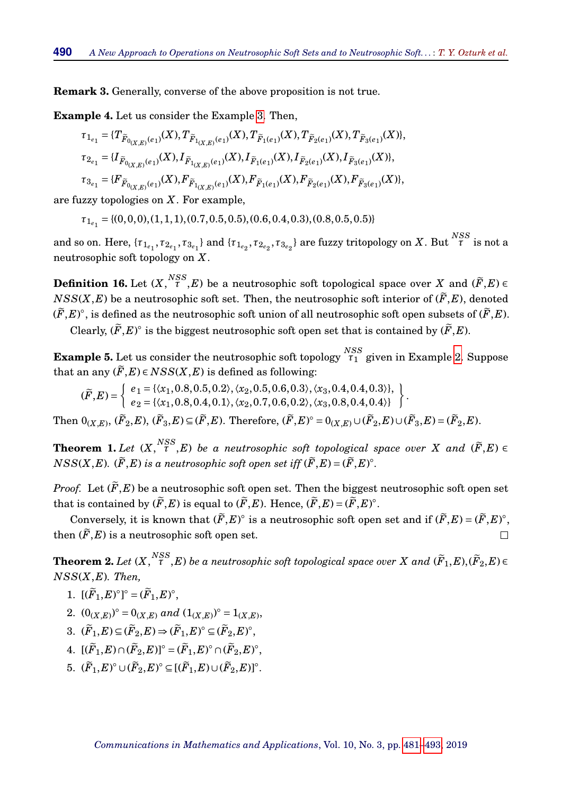**Remark 3.** Generally, converse of the above proposition is not true.

**Example 4.** Let us consider the Example [3.](#page-8-0) Then,

$$
\begin{aligned} &\tau_{1_{e_1}} = \{T_{\tilde{F}_{0_{(X,E)}}(e_1)}(X), T_{\tilde{F}_{1(X,E)}(e_1)}(X), T_{\tilde{F}_1(e_1)}(X), T_{\tilde{F}_2(e_1)}(X), T_{\tilde{F}_3(e_1)}(X)\},\\ &\tau_{2_{e_1}} = \{I_{\tilde{F}_{0_{(X,E)}}(e_1)}(X), I_{\tilde{F}_{1(X,E)}(e_1)}(X), I_{\tilde{F}_1(e_1)}(X), I_{\tilde{F}_2(e_1)}(X), I_{\tilde{F}_3(e_1)}(X)\},\\ &\tau_{3_{e_1}} = \{F_{\tilde{F}_{0_{(X,E)}}(e_1)}(X), F_{\tilde{F}_{1(X,E)}(e_1)}(X), F_{\tilde{F}_1(e_1)}(X), F_{\tilde{F}_2(e_1)}(X), F_{\tilde{F}_3(e_1)}(X)\}, \end{aligned}
$$

are fuzzy topologies on *X* . For example,

*τ*1*e*<sup>1</sup> = {(0,0,0),(1,1,1),(0.7,0.5,0.5),(0.6,0.4,0.3),(0.8,0.5,0.5)}

and so on. Here,  $\{\tau_{1_{e_1}},\tau_{2_{e_1}},\tau_{3_{e_1}}\}$  and  $\{\tau_{1_{e_2}},\tau_{2_{e_2}},\tau_{3_{e_2}}\}$  are fuzzy tritopology on  $X.$  But  $\stackrel{NSS}{\tau}$  is not a neutrosophic soft topology on *X* .

**Definition 16.** Let  $(X, \overset{NSS}{\tau}, E)$  be a neutrosophic soft topological space over  $X$  and  $(\widetilde{F}, E) \in$  $NSS(X, E)$  be a neutrosophic soft set. Then, the neutrosophic soft interior of  $(\widetilde{F}, E)$ , denoted  $(\widetilde{F}, E)^\circ$ , is defined as the neutrosophic soft union of all neutrosophic soft open subsets of  $(\widetilde{F}, E)$ .

Clearly,  $(\widetilde{F}, E)^\circ$  is the biggest neutrosophic soft open set that is contained by  $(\widetilde{F}, E)$ .

**Example 5.** Let us consider the neutrosophic soft topology *NSS τ*<sup>1</sup> given in Example [2.](#page-7-0) Suppose that an any  $(\widetilde{F}, E) \in NSS(X, E)$  is defined as following:

$$
(\widetilde{F},E) = \left\{\n\begin{array}{l}\ne_1 = \{\langle x_1, 0.8, 0.5, 0.2 \rangle, \langle x_2, 0.5, 0.6, 0.3 \rangle, \langle x_3, 0.4, 0.4, 0.3 \rangle\}, \\
e_2 = \{\langle x_1, 0.8, 0.4, 0.1 \rangle, \langle x_2, 0.7, 0.6, 0.2 \rangle, \langle x_3, 0.8, 0.4, 0.4 \rangle\}\n\end{array}\n\right\}.
$$

 $\text{Then } 0_{(X,E)}, \ (\widetilde{F}_2,E), \ (\widetilde{F}_3,E) \subseteq (\widetilde{F},E). \text{ Therefore, } (\widetilde{F},E)^\circ = 0_{(X,E)} \cup (\widetilde{F}_2,E) \cup (\widetilde{F}_3,E) = (\widetilde{F}_2,E).$ 

**Theorem 1.** Let  $(X, \n\begin{bmatrix} NSS \end{bmatrix}, E)$  be a neutrosophic soft topological space over  $X$  and  $(\widetilde{F}, E) \in$  $NSS(X, E)$ . ( $\widetilde{F}, E$ ) is a neutrosophic soft open set iff ( $\widetilde{F}, E$ ) = ( $\widetilde{F}, E$ )°.

*Proof.* Let  $(\tilde{F}, E)$  be a neutrosophic soft open set. Then the biggest neutrosophic soft open set that is contained by  $(\widetilde{F}, E)$  is equal to  $(\widetilde{F}, E)$ . Hence,  $(\widetilde{F}, E) = (\widetilde{F}, E)^\circ$ .

Conversely, it is known that  $(\widetilde{F}, E)^\circ$  is a neutrosophic soft open set and if  $(\widetilde{F}, E) = (\widetilde{F}, E)^\circ$ , then  $(\widetilde{F}, E)$  is a neutrosophic soft open set.

**Theorem 2.** Let  $(X, \tilde{T}, E)$  be a neutrosophic soft topological space over  $X$  and  $(\tilde{F}_1, E), (\tilde{F}_2, E) \in$ *NSS*(*X*,*E*)*. Then,*

- 1.  $[(\widetilde{F}_1, E)^{\circ}]^{\circ} = (\widetilde{F}_1, E)^{\circ}$ ,
- 2.  $(0_{(X,E)})^{\circ} = 0_{(X,E)}$  and  $(1_{(X,E)})^{\circ} = 1_{(X,E)}$ ,
- 3.  $(\widetilde{F}_1, E) \subseteq (\widetilde{F}_2, E) \Rightarrow (\widetilde{F}_1, E)^\circ \subseteq (\widetilde{F}_2, E)^\circ,$
- $4. \ [(\widetilde{F}_1, E) \cap (\widetilde{F}_2, E)]^\circ = (\widetilde{F}_1, E)^\circ \cap (\widetilde{F}_2, E)^\circ,$
- 5.  $(\widetilde{F}_1, E)^\circ \cup (\widetilde{F}_2, E)^\circ \subseteq [(\widetilde{F}_1, E) \cup (\widetilde{F}_2, E)]^\circ.$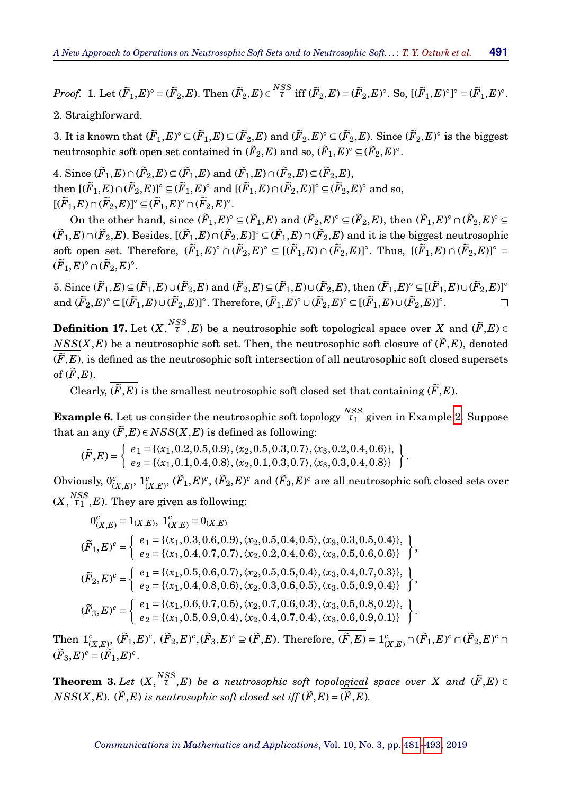*Proof.* 1. Let  $(\tilde{F}_1, E)^\circ = (\tilde{F}_2, E)$ . Then  $(\tilde{F}_2, E) \in \bigvee^{NSS}$  iff  $(\tilde{F}_2, E) = (\tilde{F}_2, E)^\circ$ . So,  $[(\tilde{F}_1, E)^\circ]^\circ = (\tilde{F}_1, E)^\circ$ .

2. Straighforward.

3. It is known that  $(\widetilde{F}_1, E)^\circ \subseteq (\widetilde{F}_1, E) \subseteq (\widetilde{F}_2, E)$  and  $(\widetilde{F}_2, E)^\circ \subseteq (\widetilde{F}_2, E)$ . Since  $(\widetilde{F}_2, E)^\circ$  is the biggest  ${\rm neutron}$  and so,  $(\widetilde{F}_1, E)^\circ \subseteq (\widetilde{F}_2, E)^\circ$ .

4. Since  $(\widetilde{F}_1, E) \cap (\widetilde{F}_2, E) \subseteq (\widetilde{F}_1, E)$  and  $(\widetilde{F}_1, E) \cap (\widetilde{F}_2, E) \subseteq (\widetilde{F}_2, E)$ ,  $\text{then } [(\widetilde{F}_1, E) \cap (\widetilde{F}_2, E)]^\circ \subseteq (\widetilde{F}_1, E)^\circ \text{ and } [(\widetilde{F}_1, E) \cap (\widetilde{F}_2, E)]^\circ \subseteq (\widetilde{F}_2, E)^\circ \text{ and so,}$  $[(\widetilde{F}_1,E)\cap (\widetilde{F}_2,E)]^\circ\subseteq (\widetilde{F}_1,E)^\circ\cap (\widetilde{F}_2,E)^\circ.$ 

On the other hand, since  $(\widetilde{F}_1, E)^\circ \subseteq (\widetilde{F}_1, E)$  and  $(\widetilde{F}_2, E)^\circ \subseteq (\widetilde{F}_2, E)$ , then  $(\widetilde{F}_1, E)^\circ \cap (\widetilde{F}_2, E)^\circ \subseteq$  $(\widetilde{F}_1,E)\cap(\widetilde{F}_2,E)$ . Besides,  $[(\widetilde{F}_1,E)\cap(\widetilde{F}_2,E)]^\circ\subseteq(\widetilde{F}_1,E)\cap(\widetilde{F}_2,E)$  and it is the biggest neutrosophic  $\text{soft open set. Therefore, } (\tilde{F}_1, E)^\circ \cap (\tilde{F}_2, E)^\circ \subseteq [(\tilde{F}_1, E) \cap (\tilde{F}_2, E)]^\circ. \text{ Thus, } [(\tilde{F}_1, E) \cap (\tilde{F}_2, E)]^\circ = \tilde{F}_1(\tilde{F}_2, E)$  $(\widetilde{F}_1, E)^\circ \cap (\widetilde{F}_2, E)^\circ.$ 

5. Since  $(\widetilde{F}_1,E) \subseteq (\widetilde{F}_1,E) \cup (\widetilde{F}_2,E)$  and  $(\widetilde{F}_2,E) \subseteq (\widetilde{F}_1,E) \cup (\widetilde{F}_2,E)$ , then  $(\widetilde{F}_1,E)^\circ \subseteq [(\widetilde{F}_1,E) \cup (\widetilde{F}_2,E)]^\circ$  $\text{and } (\widetilde{F}_2, E)^\circ \subseteq [(\widetilde{F}_1, E) \cup (\widetilde{F}_2, E)]^\circ. \text{ Therefore, } (\widetilde{F}_1, E)^\circ \cup (\widetilde{F}_2, E)^\circ \subseteq [(\widetilde{F}_1, E) \cup (\widetilde{F}_2, E)]^\circ.$ 

**Definition 17.** Let  $(X, \overset{NSS}{\tau}, E)$  be a neutrosophic soft topological space over  $X$  and  $(\widetilde{F}, E) \in$  $NSS(X, E)$  be a neutrosophic soft set. Then, the neutrosophic soft closure of  $(\widetilde{F}, E)$ , denoted  $(\widetilde{F},E)$ , is defined as the neutrosophic soft intersection of all neutrosophic soft closed supersets of  $(F, E)$ .

Clearly,  $(\widetilde{F}, E)$  is the smallest neutrosophic soft closed set that containing  $(\widetilde{F}, E)$ .

**Example 6.** Let us consider the neutrosophic soft topology *NSS τ*<sup>1</sup> given in Example [2.](#page-7-0) Suppose that an any  $(\widetilde{F}, E) \in NSS(X, E)$  is defined as following:

$$
(\widetilde{F},E) = \left\{\n\begin{array}{l}\ne_1 = \{\langle x_1, 0.2, 0.5, 0.9 \rangle, \langle x_2, 0.5, 0.3, 0.7 \rangle, \langle x_3, 0.2, 0.4, 0.6 \rangle\}, \\
e_2 = \{\langle x_1, 0.1, 0.4, 0.8 \rangle, \langle x_2, 0.1, 0.3, 0.7 \rangle, \langle x_3, 0.3, 0.4, 0.8 \rangle\}\n\end{array}\n\right\}.
$$

Obviously,  $0_{(X,E)}^c$ ,  $1_C^c$  $^c_{(X,E)},\, (\widetilde{F}_1,E)^c,\, (\widetilde{F}_2,E)^c$  and  $(\widetilde{F}_3,E)^c$  are all neutrosophic soft closed sets over  $(X, \begin{smallmatrix}NSS\ \tau_1 \end{smallmatrix}, E).$  They are given as following:

$$
0_{(X,E)}^c = 1_{(X,E)}, \ 1_{(X,E)}^c = 0_{(X,E)}
$$
\n
$$
(\tilde{F}_1, E)^c = \begin{cases} e_1 = \{ \langle x_1, 0.3, 0.6, 0.9 \rangle, \langle x_2, 0.5, 0.4, 0.5 \rangle, \langle x_3, 0.3, 0.5, 0.4 \rangle \}, \\ e_2 = \{ \langle x_1, 0.4, 0.7, 0.7 \rangle, \langle x_2, 0.2, 0.4, 0.6 \rangle, \langle x_3, 0.5, 0.6, 0.6 \rangle \} \end{cases},
$$
\n
$$
(\tilde{F}_2, E)^c = \begin{cases} e_1 = \{ \langle x_1, 0.5, 0.6, 0.7 \rangle, \langle x_2, 0.5, 0.5, 0.4 \rangle, \langle x_3, 0.4, 0.7, 0.3 \rangle \}, \\ e_2 = \{ \langle x_1, 0.4, 0.8, 0.6 \rangle, \langle x_2, 0.3, 0.6, 0.5 \rangle, \langle x_3, 0.5, 0.9, 0.4 \rangle \} \end{cases},
$$
\n
$$
(\tilde{F}_3, E)^c = \begin{cases} e_1 = \{ \langle x_1, 0.6, 0.7, 0.5 \rangle, \langle x_2, 0.7, 0.6, 0.3 \rangle, \langle x_3, 0.5, 0.8, 0.2 \rangle \}, \\ e_2 = \{ \langle x_1, 0.5, 0.9, 0.4 \rangle, \langle x_2, 0.4, 0.7, 0.4 \rangle, \langle x_3, 0.6, 0.9, 0.1 \rangle \} \end{cases}.
$$

 $\widetilde{\mathbf{I}}_{(X,E)}^c$ ,  $(\widetilde{F}_1, E)^c$ ,  $(\widetilde{F}_2, E)^c$ ,  $(\widetilde{F}_3, E)^c \supseteq (\widetilde{F}, E)$ . Therefore,  $(\widetilde{F}, E) = 1_c^c$  $^c_{(X,E)}\cap (\widetilde{F}_1,E)^c\cap (\widetilde{F}_2,E)^c\cap$  $(\widetilde{F}_3, E)^c = (\widetilde{F}_1, E)^c$ .

**Theorem 3.** Let  $(X, \n\begin{bmatrix} NSS \end{bmatrix}, E)$  be a neutrosophic soft topological space over  $X$  and  $(\widetilde{F}, E) \in$  $NSS(X, E)$ *.* ( $\widetilde{F}, E$ ) is neutrosophic soft closed set iff ( $\widetilde{F}, E$ ) = ( $\widetilde{F}, E$ )*.*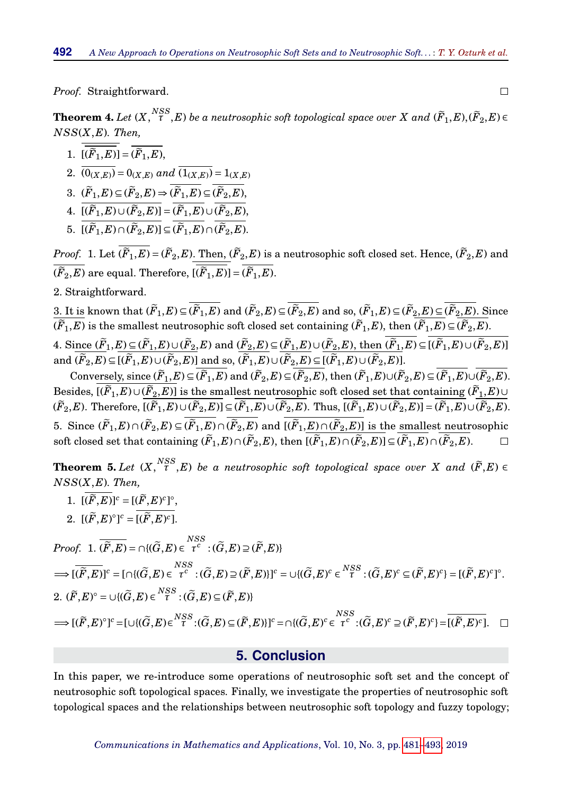*Proof.* Straightforward.

**Theorem 4.** Let  $(X, \tilde{T}, E)$  be a neutrosophic soft topological space over  $X$  and  $(\tilde{F}_1, E), (\tilde{F}_2, E) \in$ *NSS*(*X*,*E*)*. Then,*

1. 
$$
[\overline{(\widetilde{F}_1, E)}] = \overline{(\widetilde{F}_1, E)},
$$
  
\n2. 
$$
\overline{(0_{(X,E)})} = 0_{(X,E)} \text{ and } \overline{(1_{(X,E)})} = 1_{(X,E)}
$$
  
\n3. 
$$
\overline{(\widetilde{F}_1, E)} \subseteq (\widetilde{F}_2, E) \Rightarrow (\overline{\widetilde{F}_1, E}) \subseteq (\overline{\widetilde{F}_2, E}),
$$
  
\n4. 
$$
\overline{[(\widetilde{F}_1, E) \cup (\widetilde{F}_2, E)]} = \overline{(\widetilde{F}_1, E)} \cup (\overline{\widetilde{F}_2, E}),
$$
  
\n5. 
$$
\overline{[(\widetilde{F}_1, E) \cap (\widetilde{F}_2, E)]} \subseteq \overline{(\widetilde{F}_1, E) \cap (\widetilde{F}_2, E)}.
$$

*Proof.* 1. Let  $(\widetilde{F}_1, E) = (\widetilde{F}_2, E)$ . Then,  $(\widetilde{F}_2, E)$  is a neutrosophic soft closed set. Hence,  $(\widetilde{F}_2, E)$  and  $(\widetilde{F}_2, E)$  are equal. Therefore,  $[(\widetilde{F}_1, E)] = (\widetilde{F}_1, E)$ .

2. Straightforward.

3. It is known that  $(\widetilde{F}_1, E) \subseteq (\widetilde{F}_1, E)$  and  $(\widetilde{F}_2, E) \subseteq (\widetilde{F}_2, E)$  and so,  $(\widetilde{F}_1, E) \subseteq (\widetilde{F}_2, E) \subseteq (\widetilde{F}_2, E)$ . Since  $(\widetilde{F}_1, E)$  is the smallest neutrosophic soft closed set containing  $(\widetilde{F}_1, E)$ , then  $(\widetilde{F}_1, E) \subseteq (\widetilde{F}_2, E)$ .

4. Since  $(\widetilde{F}_1, E) \subseteq (\widetilde{F}_1, E) \cup (\widetilde{F}_2, E)$  and  $(\widetilde{F}_2, E) \subseteq (\widetilde{F}_1, E) \cup (\widetilde{F}_2, E)$ , then  $(\widetilde{F}_1, E) \subseteq [(\widetilde{F}_1, E) \cup (\widetilde{F}_2, E)]$ and  $(\widetilde{F}_2, \widetilde{E}) \subseteq [(\widetilde{F}_1, E) \cup (\widetilde{F}_2, \widetilde{E})]$  and so,  $(\widetilde{F}_1, \widetilde{E}) \cup (\widetilde{F}_2, \widetilde{E}) \subseteq [(\widetilde{F}_1, E) \cup (\widetilde{F}_2, \widetilde{E})]$ .

Conversely, since  $(\widetilde{F}_1, E) \subseteq (\overline{\widetilde{F}_1}, E)$  and  $(\widetilde{F}_2, E) \subseteq (\overline{\widetilde{F}_2}, E)$ , then  $(\widetilde{F}_1, E) \cup (\widetilde{F}_2, E) \subseteq (\overline{\widetilde{F}_1}, E) \cup (\overline{\widetilde{F}_2}, E)$ . Besides,  $[(\tilde{F}_1, E) \cup (\tilde{F}_2, E)]$  is the smallest neutrosophic soft closed set that containing  $(\tilde{F}_1, E) \cup$  $(\widetilde{F}_2,E)$ . Therefore,  $[(\widetilde{F}_1,E)\cup(\widetilde{F}_2,E)]\subseteq(\widetilde{F}_1,E)\cup(\widetilde{F}_2,E)$ . Thus,  $[(\widetilde{F}_1,E)\cup(\widetilde{F}_2,E)]=(\widetilde{F}_1,E)\cup(\widetilde{F}_2,E)$ . 5. Since  $(\widetilde{F}_1, E) \cap (\widetilde{F}_2, E) \subseteq (\overline{\widetilde{F}_1, E}) \cap (\overline{\widetilde{F}_2, E})$  and  $\overline{[(\widetilde{F}_1, E) \cap (\widetilde{F}_2, E)]}$  is the smallest neutrosophic soft closed set that containing  $(\widetilde{F}_1, E) \cap (\overline{\widetilde{F}_2}, E)$ , then  $\overline{[(\widetilde{F}_1, E) \$ soft closed set that containing  $(\widetilde{F}_1, E) \cap (\widetilde{F}_2, E)$ , then  $[(\overline{\widetilde{F}_1}, \overline{E}) \cap (\overline{\widetilde{F}_2}, E)] \subseteq (\overline{\widetilde{F}_1}, \overline{E}) \cap (\overline{\widetilde{F}_2}, E)$ .

**Theorem 5.** Let  $(X, \n\begin{bmatrix} NSS \\ T, E \end{bmatrix})$  be a neutrosophic soft topological space over  $X$  and  $(\widetilde{F}, E) \in$ *NSS*(*X*,*E*)*. Then,*

1.  $[(\widetilde{F},E)]^c = [(\widetilde{F},E)^c]^{\circ},$ 2.  $[(\widetilde{F}, E)^{\circ}]^{c} = \overline{[(\widetilde{F}, E)^{c}]}$ . *Proof.* 1.  $\overline{(\widetilde{F},E)} = \bigcap \{(\widetilde{G},E) \in \begin{matrix} NSS\\ \tau^c \end{matrix}$  $\widetilde{\tau}^c$  : ( $\widetilde{G}, E$ )  $\supseteq$  ( $\widetilde{F}, E$ )}  $\implies [\overline{(\widetilde{F},E)}]^c = [\bigcap \{(\widetilde{G},E) \in \begin{matrix} NSS\\ \tau^c \end{matrix}$  $\{\widetilde{G}, \widetilde{G}, E\} \supseteq \{\widetilde{F}, E\}\}^c = \cup \{(\widetilde{G}, E)^c \in \frac{NSS}{\tau} : (\widetilde{G}, E)^c \subseteq (\widetilde{F}, E)^c\} = [(\widetilde{F}, E)^c]^c.$ 2.  $(\widetilde{F}, E)^{\circ} = \cup \{(\widetilde{G}, E) \in \frac{NSS}{\tau} : (\widetilde{G}, E) \subseteq (\widetilde{F}, E)\}$  $\Longrightarrow$   $[(\widetilde{F}, E)^{\circ}]^{c} = [\cup \{(\widetilde{G}, E) \in \frac{NSS}{\tau} : (\widetilde{G}, E) \subseteq (\widetilde{F}, E)\}]^{c} = \cap \{(\widetilde{G}, E)^{c} \in \frac{NSS}{\tau^{c}}\}$  $\widetilde{\tau}^c$  : $(\widetilde{G}, E)^c \supseteq (\widetilde{F}, E)^c$  $=[(\widetilde{F}, E)^c]$ .

## **5. Conclusion**

<span id="page-11-0"></span>In this paper, we re-introduce some operations of neutrosophic soft set and the concept of neutrosophic soft topological spaces. Finally, we investigate the properties of neutrosophic soft topological spaces and the relationships between neutrosophic soft topology and fuzzy topology;